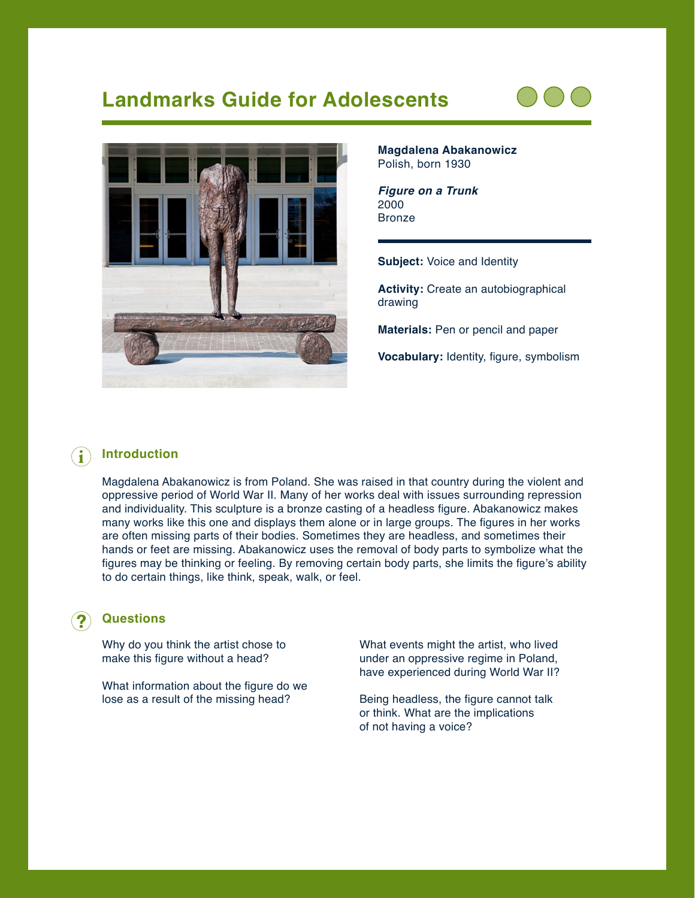# **Landmarks Guide for Adolescents**





**Magdalena Abakanowicz** Polish, born 1930

*Figure on a Trunk* 2000 Bronze

**Subject:** Voice and Identity

**Activity:** Create an autobiographical drawing

**Materials:** Pen or pencil and paper

**Vocabulary:** Identity, figure, symbolism

## **Introduction**

Magdalena Abakanowicz is from Poland. She was raised in that country during the violent and oppressive period of World War II. Many of her works deal with issues surrounding repression and individuality. This sculpture is a bronze casting of a headless figure. Abakanowicz makes many works like this one and displays them alone or in large groups. The figures in her works are often missing parts of their bodies. Sometimes they are headless, and sometimes their hands or feet are missing. Abakanowicz uses the removal of body parts to symbolize what the figures may be thinking or feeling. By removing certain body parts, she limits the figure's ability to do certain things, like think, speak, walk, or feel.

#### **Questions**

Why do you think the artist chose to make this figure without a head?

What information about the figure do we lose as a result of the missing head?

What events might the artist, who lived under an oppressive regime in Poland, have experienced during World War II?

Being headless, the figure cannot talk or think. What are the implications of not having a voice?